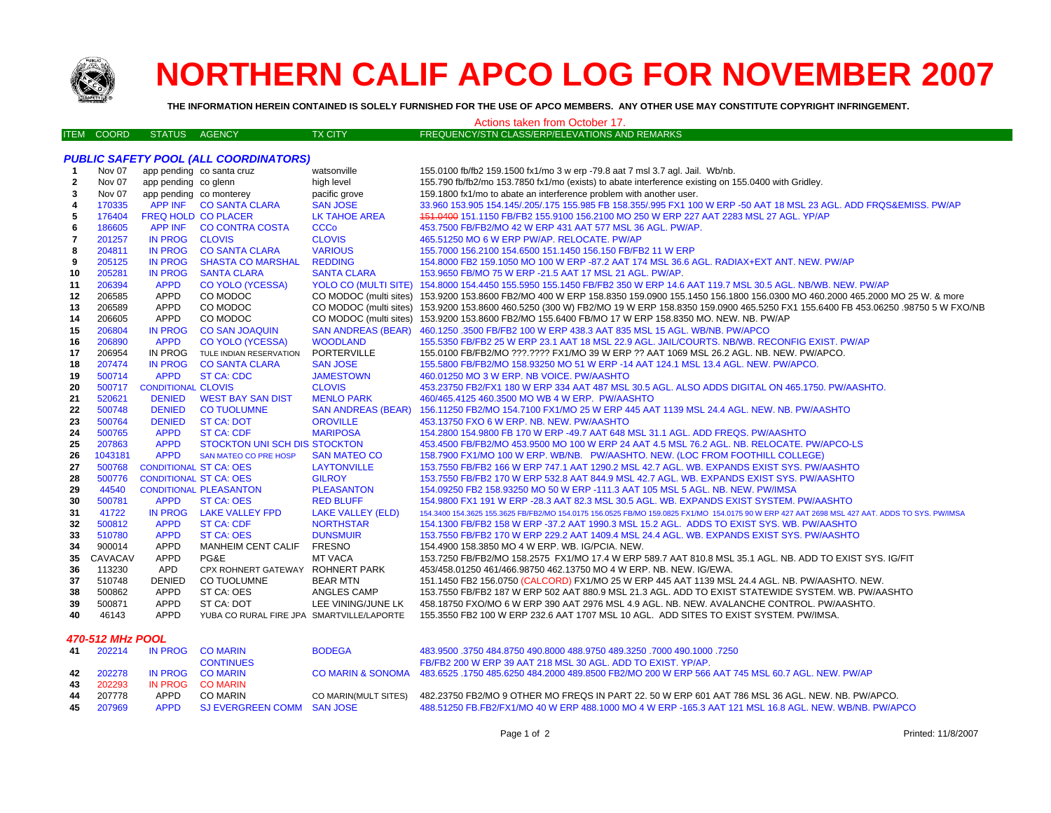

**1**

**2**

## **NORTHERN CALIF APCO LOG FOR NOVEMBER 2007**

**THE INFORMATION HEREIN CONTAINED IS SOLELY FURNISHED FOR THE USE OF APCO MEMBERS. ANY OTHER USE MAY CONSTITUTE COPYRIGHT INFRINGEMENT.**

## ITEM COORD STATUS AGENCY TX CITY FREQUENCY/STN CLASS/ERP/ELEVATIONS AND REMARKS *PUBLIC SAFETY POOL (ALL COORDINATORS)* Nov 07 app pending co santa cruz watsonville 155.0100 fb/fb2 159.1500 fx1/mo 3 w erp -79.8 aat 7 msl 3.7 agl. Jail. Wb/nb. Nov 07 app pending co glenn high level high level 155.790 fb/fb2/mo 153.7850 fx1/mo (exists) to abate interference existing on 155.0400 with Gridley. Actions taken from October 17.

| 3                       | Nov 07  | app pending co monterey       |                                           | pacific grove             | 159.1800 fx1/mo to abate an interference problem with another user.                                                                              |
|-------------------------|---------|-------------------------------|-------------------------------------------|---------------------------|--------------------------------------------------------------------------------------------------------------------------------------------------|
| 4                       | 170335  |                               | APP INF CO SANTA CLARA                    | <b>SAN JOSE</b>           | 33.960 153.905 154.145/.205/.175 155.985 FB 158.355/.995 FX1 100 W ERP -50 AAT 18 MSL 23 AGL. ADD FRQS&EMISS. PW/AP                              |
| 5                       | 176404  |                               | <b>FREQ HOLD CO PLACER</b>                | <b>LK TAHOE AREA</b>      | 151.0400 151.1150 FB/FB2 155.9100 156.2100 MO 250 W ERP 227 AAT 2283 MSL 27 AGL. YP/AP                                                           |
| 6                       | 186605  |                               | APP INF CO CONTRA COSTA                   | <b>CCCo</b>               | 453.7500 FB/FB2/MO 42 W ERP 431 AAT 577 MSL 36 AGL, PW/AP.                                                                                       |
| $\overline{\mathbf{r}}$ | 201257  | <b>IN PROG</b>                | <b>CLOVIS</b>                             | <b>CLOVIS</b>             | 465.51250 MO 6 W ERP PW/AP. RELOCATE. PW/AP                                                                                                      |
| 8                       | 204811  | <b>IN PROG</b>                | <b>CO SANTA CLARA</b>                     | <b>VARIOUS</b>            | 155.7000 156.2100 154.6500 151.1450 156.150 FB/FB2 11 W ERP                                                                                      |
| 9                       | 205125  | <b>IN PROG</b>                | <b>SHASTA CO MARSHAL</b>                  | <b>REDDING</b>            | 154,8000 FB2 159,1050 MO 100 W ERP -87,2 AAT 174 MSL 36.6 AGL, RADIAX+EXT ANT, NEW, PW/AP                                                        |
| 10                      | 205281  | <b>IN PROG</b>                | <b>SANTA CLARA</b>                        | <b>SANTA CLARA</b>        | 153.9650 FB/MO 75 W ERP -21.5 AAT 17 MSL 21 AGL. PW/AP.                                                                                          |
| 11                      | 206394  | <b>APPD</b>                   | <b>CO YOLO (YCESSA)</b>                   |                           | YOLO CO (MULTI SITE) 154.8000 154.4450 155.5950 155.1450 FB/FB2 350 W ERP 14.6 AAT 119.7 MSL 30.5 AGL. NB/WB. NEW. PW/AP                         |
| 12                      | 206585  | APPD                          | CO MODOC                                  |                           | CO MODOC (multi sites) 153.9200 153.8600 FB2/MO 400 W ERP 158.8350 159.0900 155.1450 156.1800 156.0300 MO 460.2000 465.2000 MO 25 W. & more      |
| 13                      | 206589  | <b>APPD</b>                   | CO MODOC                                  |                           | CO MODOC (multi sites) 153.9200 153.8600 460.5250 (300 W) FB2/MO 19 W ERP 158.8350 159.0900 465.5250 FX1 155.6400 FB 453.06250 .98750 5 W FXO/NB |
| 14                      | 206605  | APPD                          | CO MODOC                                  |                           | CO MODOC (multi sites) 153.9200 153.8600 FB2/MO 155.6400 FB/MO 17 W ERP 158.8350 MO. NEW. NB. PW/AP                                              |
| 15                      | 206804  | <b>IN PROG</b>                | <b>CO SAN JOAQUIN</b>                     | <b>SAN ANDREAS (BEAR)</b> | 460.1250 .3500 FB/FB2 100 W ERP 438.3 AAT 835 MSL 15 AGL, WB/NB, PW/APCO                                                                         |
| 16                      | 206890  | <b>APPD</b>                   | <b>CO YOLO (YCESSA)</b>                   | <b>WOODLAND</b>           | 155.5350 FB/FB2 25 W ERP 23.1 AAT 18 MSL 22.9 AGL. JAIL/COURTS, NB/WB, RECONFIG EXIST, PW/AP                                                     |
| 17                      | 206954  | IN PROG                       | TULE INDIAN RESERVATION                   | <b>PORTERVILLE</b>        | 155,0100 FB/FB2/MO ???.???? FX1/MO 39 W ERP ?? AAT 1069 MSL 26.2 AGL, NB, NEW, PW/APCO,                                                          |
| 18                      | 207474  | <b>IN PROG</b>                | <b>CO SANTA CLARA</b>                     | <b>SAN JOSE</b>           | 155,5800 FB/FB2/MO 158,93250 MO 51 W ERP -14 AAT 124.1 MSL 13.4 AGL, NEW, PW/APCO,                                                               |
| 19                      | 500714  | <b>APPD</b>                   | <b>ST CA: CDC</b>                         | <b>JAMESTOWN</b>          | 460.01250 MO 3 W ERP. NB VOICE. PW/AASHTO                                                                                                        |
| 20                      | 500717  | <b>CONDITIONAL CLOVIS</b>     |                                           | <b>CLOVIS</b>             | 453.23750 FB2/FX1 180 W ERP 334 AAT 487 MSL 30.5 AGL. ALSO ADDS DIGITAL ON 465.1750. PW/AASHTO.                                                  |
| 21                      | 520621  | <b>DENIED</b>                 | <b>WEST BAY SAN DIST</b>                  | <b>MENLO PARK</b>         | 460/465.4125 460.3500 MO WB 4 W ERP. PW/AASHTO                                                                                                   |
| 22                      | 500748  | <b>DENIED</b>                 | <b>CO TUOLUMNE</b>                        | <b>SAN ANDREAS (BEAR)</b> | 156.11250 FB2/MO 154.7100 FX1/MO 25 W ERP 445 AAT 1139 MSL 24.4 AGL. NEW. NB. PW/AASHTO                                                          |
| 23                      | 500764  | <b>DENIED</b>                 | <b>ST CA: DOT</b>                         | <b>OROVILLE</b>           | 453.13750 FXO 6 W ERP. NB. NEW. PW/AASHTO                                                                                                        |
| 24                      | 500765  | <b>APPD</b>                   | <b>ST CA: CDF</b>                         | <b>MARIPOSA</b>           | 154.2800 154.9800 FB 170 W ERP -49.7 AAT 648 MSL 31.1 AGL. ADD FREQS. PW/AASHTO                                                                  |
| 25                      | 207863  | <b>APPD</b>                   | STOCKTON UNI SCH DIS STOCKTON             |                           | 453.4500 FB/FB2/MO 453.9500 MO 100 W ERP 24 AAT 4.5 MSL 76.2 AGL. NB. RELOCATE. PW/APCO-LS                                                       |
| 26                      | 1043181 | <b>APPD</b>                   | SAN MATEO CO PRE HOSP                     | <b>SAN MATEO CO</b>       | 158.7900 FX1/MO 100 W ERP. WB/NB. PW/AASHTO. NEW. (LOC FROM FOOTHILL COLLEGE)                                                                    |
| 27                      | 500768  | <b>CONDITIONAL ST CA: OES</b> |                                           | <b>LAYTONVILLE</b>        | 153.7550 FB/FB2 166 W ERP 747.1 AAT 1290.2 MSL 42.7 AGL. WB. EXPANDS EXIST SYS. PW/AASHTO                                                        |
| 28                      | 500776  | <b>CONDITIONAL ST CA: OES</b> |                                           | <b>GILROY</b>             | 153.7550 FB/FB2 170 W ERP 532.8 AAT 844.9 MSL 42.7 AGL, WB, EXPANDS EXIST SYS, PW/AASHTO                                                         |
| 29                      | 44540   |                               | <b>CONDITIONAL PLEASANTON</b>             | <b>PLEASANTON</b>         | 154,09250 FB2 158,93250 MO 50 W ERP -111.3 AAT 105 MSL 5 AGL, NB, NEW, PW/IMSA                                                                   |
| 30                      | 500781  | <b>APPD</b>                   | <b>ST CA: OES</b>                         | <b>RED BLUFF</b>          | 154.9800 FX1 191 W ERP -28.3 AAT 82.3 MSL 30.5 AGL. WB. EXPANDS EXIST SYSTEM. PW/AASHTO                                                          |
| 31                      | 41722   |                               | IN PROG LAKE VALLEY FPD                   | <b>LAKE VALLEY (ELD)</b>  | 154.3400 154.3625 155.3625 FB/FB2/MO 154.0175 156.0525 FB/MO 159.0825 FX1/MO 154.0175 90 W ERP 427 AAT 2698 MSL 427 AAT. ADDS TO SYS. PW/IMSA    |
| 32                      | 500812  | <b>APPD</b>                   | <b>ST CA: CDF</b>                         | <b>NORTHSTAR</b>          | 154.1300 FB/FB2 158 W ERP -37.2 AAT 1990.3 MSL 15.2 AGL. ADDS TO EXIST SYS. WB. PW/AASHTO                                                        |
| 33                      | 510780  | <b>APPD</b>                   | <b>ST CA: OES</b>                         | <b>DUNSMUIR</b>           | 153.7550 FB/FB2 170 W ERP 229.2 AAT 1409.4 MSL 24.4 AGL. WB. EXPANDS EXIST SYS. PW/AASHTO                                                        |
| 34                      | 900014  | <b>APPD</b>                   | MANHEIM CENT CALIF                        | FRESNO                    | 154,4900 158,3850 MO 4 W ERP, WB, IG/PCIA, NEW.                                                                                                  |
| 35                      | CAVACAV | <b>APPD</b>                   | PG&E                                      | <b>MT VACA</b>            | 153.7250 FB/FB2/MO 158.2575 FX1/MO 17.4 W ERP 589.7 AAT 810.8 MSL 35.1 AGL. NB. ADD TO EXIST SYS. IG/FIT                                         |
| 36                      | 113230  | <b>APD</b>                    | CPX ROHNERT GATEWAY ROHNERT PARK          |                           | 453/458.01250 461/466.98750 462.13750 MO 4 W ERP, NB, NEW, IG/EWA,                                                                               |
| 37                      | 510748  | <b>DENIED</b>                 | CO TUOLUMNE                               | <b>BEAR MTN</b>           | 151.1450 FB2 156.0750 (CALCORD) FX1/MO 25 W ERP 445 AAT 1139 MSL 24.4 AGL. NB. PW/AASHTO. NEW.                                                   |
| 38                      | 500862  | APPD                          | ST CA: OES                                | ANGLES CAMP               | 153.7550 FB/FB2 187 W ERP 502 AAT 880.9 MSL 21.3 AGL. ADD TO EXIST STATEWIDE SYSTEM. WB. PW/AASHTO                                               |
| 39                      | 500871  | APPD                          | ST CA: DOT                                | LEE VINING/JUNE LK        | 458.18750 FXO/MO 6 W ERP 390 AAT 2976 MSL 4.9 AGL. NB. NEW. AVALANCHE CONTROL. PW/AASHTO.                                                        |
| 40                      | 46143   | <b>APPD</b>                   | YUBA CO RURAL FIRE JPA SMARTVILLE/LAPORTE |                           | 155,3550 FB2 100 W ERP 232.6 AAT 1707 MSL 10 AGL. ADD SITES TO EXIST SYSTEM. PW/IMSA.                                                            |
|                         |         |                               |                                           |                           |                                                                                                                                                  |

## *470-512 MHz POOL*

| 41 202214 |       | IN PROG CO MARIN                | <b>BODEGA</b>        | 483.9500 .3750 484.8750 490.8000 488.9750 489.3250 .7000 490.1000 .7250                                           |
|-----------|-------|---------------------------------|----------------------|-------------------------------------------------------------------------------------------------------------------|
|           |       | <b>CONTINUES</b>                |                      | FB/FB2 200 W ERP 39 AAT 218 MSL 30 AGL, ADD TO EXIST, YP/AP,                                                      |
| 42 202278 |       | IN PROG CO MARIN                |                      | CO MARIN & SONOMA 483.6525 .1750 485.6250 484.2000 489.8500 FB2/MO 200 W ERP 566 AAT 745 MSL 60.7 AGL. NEW, PW/AP |
| 43 202293 |       | IN PROG CO MARIN                |                      |                                                                                                                   |
| 44 207778 | APPD. | CO MARIN                        | CO MARIN(MULT SITES) | 482.23750 FB2/MO 9 OTHER MO FREQS IN PART 22. 50 W ERP 601 AAT 786 MSL 36 AGL. NEW. NB. PW/APCO.                  |
| 45 207969 |       | APPD SJ EVERGREEN COMM SAN JOSE |                      | 488.51250 FB.FB2/FX1/MO 40 W ERP 488.1000 MO 4 W ERP -165.3 AAT 121 MSL 16.8 AGL. NEW, WB/NB, PW/APCO             |